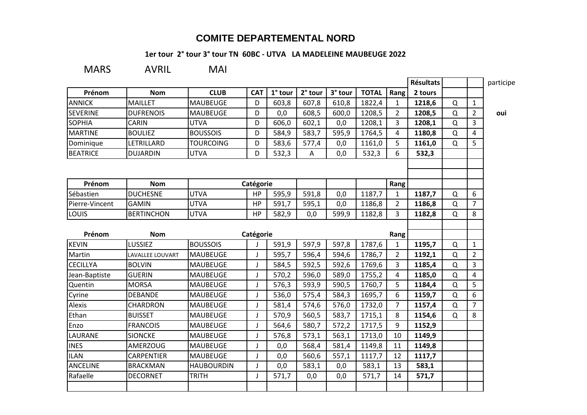## **COMITE DEPARTEMENTAL NORD**

## **1er tour 2° tour 3° tour TN 60BC - UTVA LA MADELEINE MAUBEUGE 2022**

MARS AVRIL MAI

|                 |                   |                   |              |         |         |         |              |                | Résultats |          |                | participe |
|-----------------|-------------------|-------------------|--------------|---------|---------|---------|--------------|----------------|-----------|----------|----------------|-----------|
| Prénom          | <b>Nom</b>        | <b>CLUB</b>       | <b>CAT</b>   | 1° tour | 2° tour | 3° tour | <b>TOTAL</b> | Rang           | 2 tours   |          |                |           |
| <b>ANNICK</b>   | <b>MAILLET</b>    | <b>MAUBEUGE</b>   | D            | 603,8   | 607,8   | 610,8   | 1822,4       | $\mathbf{1}$   | 1218,6    | Q        | $\mathbf{1}$   |           |
| <b>SEVERINE</b> | <b>DUFRENOIS</b>  | <b>MAUBEUGE</b>   | D            | 0,0     | 608,5   | 600,0   | 1208,5       | $\overline{2}$ | 1208,5    | $\Omega$ | $\overline{2}$ | oui       |
| <b>SOPHIA</b>   | <b>CARIN</b>      | <b>UTVA</b>       | D            | 606,0   | 602,1   | 0,0     | 1208,1       | 3              | 1208,1    | Q        | 3              |           |
| <b>MARTINE</b>  | <b>BOULIEZ</b>    | <b>BOUSSOIS</b>   | D            | 584,9   | 583,7   | 595,9   | 1764,5       | 4              | 1180,8    | $\Omega$ | $\overline{4}$ |           |
| Dominique       | LETRILLARD        | <b>TOURCOING</b>  | D            | 583,6   | 577,4   | 0,0     | 1161,0       | 5              | 1161,0    | Q        | 5              |           |
| <b>BEATRICE</b> | <b>DUJARDIN</b>   | <b>UTVA</b>       | D            | 532,3   | Α       | 0,0     | 532,3        | 6              | 532,3     |          |                |           |
|                 |                   |                   |              |         |         |         |              |                |           |          |                |           |
| Prénom          | <b>Nom</b>        | Catégorie         |              |         |         |         |              | Rang           |           |          |                |           |
| Sébastien       | <b>DUCHESNE</b>   | <b>UTVA</b>       | <b>HP</b>    | 595,9   | 591,8   | 0,0     | 1187,7       | 1              | 1187,7    | Q        | 6              |           |
| Pierre-Vincent  | <b>GAMIN</b>      | <b>UTVA</b>       | HP           | 591,7   | 595,1   | 0,0     | 1186,8       | $\overline{2}$ | 1186,8    | $\Omega$ | $\overline{7}$ |           |
| LOUIS           | <b>BERTINCHON</b> | <b>UTVA</b>       | HP           | 582,9   | 0,0     | 599,9   | 1182,8       | 3              | 1182,8    | Q        | 8              |           |
|                 |                   |                   |              |         |         |         |              |                |           |          |                |           |
| Prénom          | <b>Nom</b>        |                   | Catégorie    |         |         |         |              | Rang           |           |          |                |           |
| <b>KEVIN</b>    | LUSSIEZ           | <b>BOUSSOIS</b>   | $\mathbf{I}$ | 591,9   | 597,9   | 597,8   | 1787,6       | 1              | 1195,7    | Q        | $\mathbf{1}$   |           |
| Martin          | LAVALLEE LOUVART  | <b>MAUBEUGE</b>   | $\mathbf{J}$ | 595,7   | 596,4   | 594,6   | 1786,7       | $\overline{2}$ | 1192,1    | $\Omega$ | $\overline{2}$ |           |
| <b>CECILLYA</b> | <b>BOLVIN</b>     | <b>MAUBEUGE</b>   | J            | 584,5   | 592,5   | 592,6   | 1769,6       | 3              | 1185,4    | Q        | $\overline{3}$ |           |
| Jean-Baptiste   | <b>GUERIN</b>     | <b>MAUBEUGE</b>   | J            | 570,2   | 596,0   | 589,0   | 1755,2       | 4              | 1185,0    | Q        | $\overline{4}$ |           |
| Quentin         | <b>MORSA</b>      | <b>MAUBEUGE</b>   | $\mathsf{I}$ | 576,3   | 593,9   | 590,5   | 1760,7       | 5              | 1184,4    | Q        | 5              |           |
| Cyrine          | <b>DEBANDE</b>    | <b>MAUBEUGE</b>   | J            | 536,0   | 575,4   | 584,3   | 1695,7       | 6              | 1159,7    | Q        | 6              |           |
| Alexis          | CHARDRON          | <b>MAUBEUGE</b>   | J            | 581,4   | 574,6   | 576,0   | 1732,0       | $\overline{7}$ | 1157,4    | $\Omega$ | $\overline{7}$ |           |
| Ethan           | <b>BUISSET</b>    | <b>MAUBEUGE</b>   | J            | 570,9   | 560,5   | 583,7   | 1715,1       | 8              | 1154,6    | Q        | 8              |           |
| Enzo            | <b>FRANCOIS</b>   | <b>MAUBEUGE</b>   | J            | 564,6   | 580,7   | 572,2   | 1717,5       | 9              | 1152,9    |          |                |           |
| LAURANE         | <b>SIONCKE</b>    | <b>MAUBEUGE</b>   | J            | 576,8   | 573,1   | 563,1   | 1713,0       | 10             | 1149,9    |          |                |           |
| <b>INES</b>     | <b>AMERZOUG</b>   | <b>MAUBEUGE</b>   | $\mathbf{J}$ | 0,0     | 568,4   | 581,4   | 1149,8       | 11             | 1149,8    |          |                |           |
| <b>ILAN</b>     | CARPENTIER        | <b>MAUBEUGE</b>   | J            | 0,0     | 560,6   | 557,1   | 1117,7       | 12             | 1117,7    |          |                |           |
| <b>ANCELINE</b> | <b>BRACKMAN</b>   | <b>HAUBOURDIN</b> | J            | 0,0     | 583,1   | 0,0     | 583,1        | 13             | 583,1     |          |                |           |
| Rafaelle        | <b>DECORNET</b>   | <b>TRITH</b>      | $\mathsf{I}$ | 571,7   | 0,0     | 0,0     | 571,7        | 14             | 571,7     |          |                |           |
|                 |                   |                   |              |         |         |         |              |                |           |          |                |           |
|                 |                   |                   |              |         |         |         |              |                |           |          |                |           |